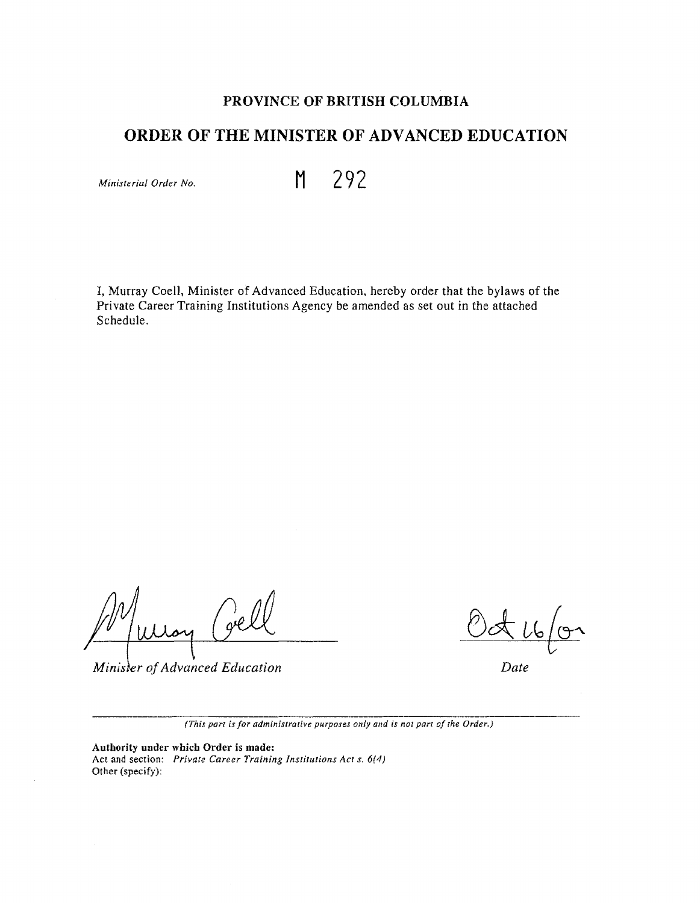# **PROVINCE OF BRITISH COLUMBIA**

# **ORDER OF THE MINISTER OF ADVANCED EDUCATION**

*Minislerial Order No.* **M 292** 

I, Murray Coell, Minister of Advanced Education, hereby order that the bylaws of the Private Career Training Institutions Agency be amended as set out in the attached Schedule.

Minister of Advanced Education

*Date* 

*(This part is for administrative purposes only and is not part of the Order,)* 

**Authority under which Order** is **made:**  Act and section: *Private Career Training Institutions Acr* s. *6(4)*  Other (specify):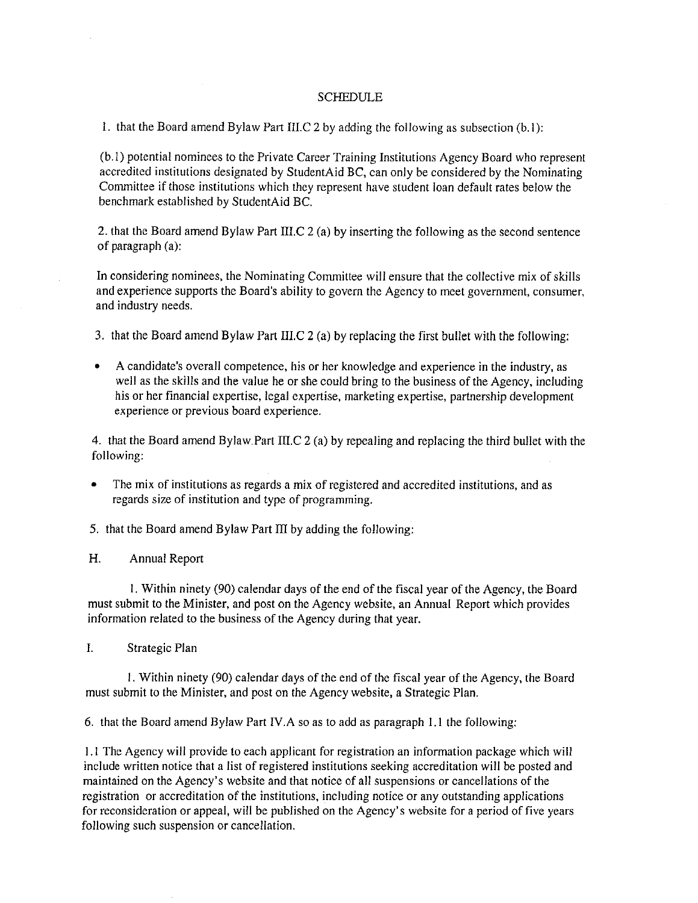#### SCHEDULE

I. that the Board amend Bylaw Part III.C 2 by adding the following as subsection (b. I):

 $\mathcal{A}^{\mathcal{A}}$ 

(b. l) potential nominees to the Private Career Training Institutions Agency Board who represent accredited institutions designated by StudentAid BC, can only be considered by the Nominating Committee if those institutions which they represent have student loan default rates below the benchmark established by StudentAid BC.

2. that the Board amend Bylaw Part III.C 2 (a) by inserting the following as the second sentence of paragraph (a):

In considering nominees, the Nominating Committee will ensure that the collective mix of skills and experience supports the Board's ability to govern the Agency to meet government, consumer, and industry needs.

- 3. that the Board amend Bylaw Part III.C 2 (a) by replacing the first bullet with the following:
- A candidate's overall competence, his or her knowledge and experience in the industry, as well as the skills and the value he or she could bring to the business of the Agency, including his or her financial expertise, legal expertise, marketing expertise, partnership development experience or previous board experience.

4. that the Board amend Bylaw.Part III.C 2 (a) by repealing and replacing the third bullet with the following:

• The mix of institutions as regards a mix of registered and accredited institutions, and as regards size of institution and type of programming.

5. that the Board amend Bylaw Part III by adding the following:

H. Annual Report

l. Within ninety (90) calendar days of the end of the fiscal year of the Agency, the Board must submit to the Minister, and post on the Agency website, an Annual Report which provides information related to the business of the Agency during that year.

I. Strategic Plan

l. Within ninety (90) calendar days of the end of the fiscal year of the Agency, the Board must submit to the Minister, and post on the Agency website, a Strategic Plan.

6. that the Board amend Bylaw Part IV.A so as to add as paragraph 1.1 the following:

1.1 The Agency will provide to each applicant for registration an information package which will include written notice that a list of registered institutions seeking accreditation will be posted and maintained on the Agency's website and that notice of all suspensions or cancellations of the registration or accreditation of the institutions, including notice or any outstanding applications for reconsideration or appeal, will be published on the Agency's website for a period of five years following such suspension or cancellation.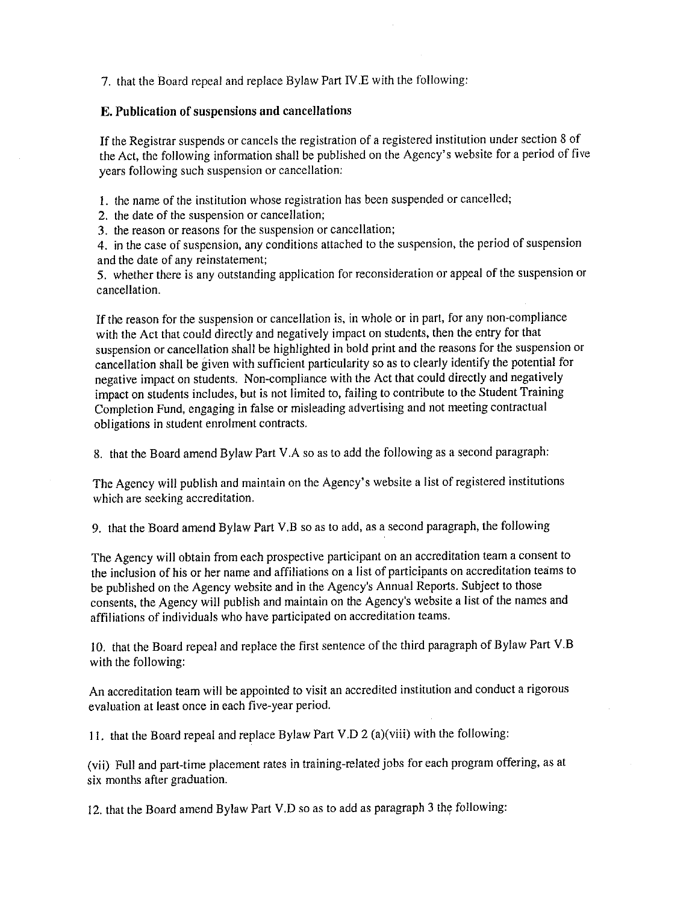7. that the Board repeal and replace Bylaw Part IV.E with the following:

### **E. Publication of snspensions and cancellations**

If the Registrar suspends or cancels the registration of a registered institution under section 8 of the Act, the following information shall be published on the Agency's website for a period of five years following such suspension or cancellation:

I. the name of the institution whose registration has been suspended or cancelled;

2. the date of the suspension or cancellation;

3. the reason or reasons for the suspension or cancellation;

4. in the case of suspension, any conditions attached to the suspension, the period of suspension and the date of any reinstatement;

5. whether there is any outstanding application for reconsideration or appeal of the suspension or cancellation.

If the reason for the suspension or cancellation is, in whole or in part, for any non-compliance with the Act that could directly and negatively impact on students, then the entry for that suspension or cancellation shall be highlighted in bold print and the reasons for the suspension or cancellation shall be given with sufficient particularity so as to clearly identify the potential for negative impact on students. Non-compliance with the Act that could directly and negatively impact on students includes, but is not limited to, failing to contribute to the Student Training Completion Fund, engaging in false or misleading advertising and not meeting contractual obligations in student enrolment contracts.

8. that the Board amend Bylaw Part V.A so as to add the following as a second paragraph:

The Agency will publish and maintain on the Agency's website a list of registered institutions which are seeking accreditation.

9. that the Board amend Bylaw Part V.B so as to add, as a second paragraph, the following

The Agency will obtain from each prospective participant on an accreditation team a consent to the inclusion of his or her name and affiliations on a list of participants on accreditation teams to be published on the Agency website and in the Agency's Annual Reports. Subject to those consents, the Agency will publish and maintain on the Agency's website a list of the names and affiliations of individuals who have participated on accreditation teams.

10. that the Board repeal and replace the first sentence of the third paragraph of Bylaw Part V.B with the following:

An accreditation team will be appointed to visit an accredited institution and conduct a rigorous evaluation at least once in each five-year period.

11. that the Board repeal and replace Bylaw Part V.D 2 (a)(viii) with the following:

(vii) Full and part-time placement rates in training-related jobs for each program offering, as at six months after graduation.

12. that the Board amend Bylaw Part V.D so as to add as paragraph 3 the following: